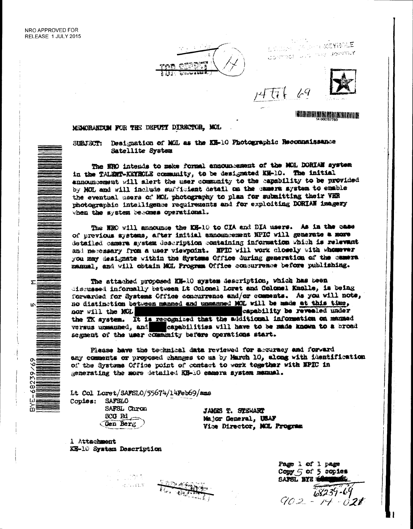ō



ESTELLER OF THE REVENUE CONTROL U.S. THE JOINTLY

 $1 - 9$ 

みてすし



# **IN BURHI KIRIN HI ANG BILANG BILANG BILANG BILANG BILANG BILANG BILANG BILANG BILANG BILANG BILANG BILANG BIL**

## MCMORANDUM FOR THE DEFUTY DIRECTOR, MOL.

Designation of MGL as the KH-10 Photographic Recommaissance SIBJECT: Satellite System

The NRO intends to make formal announcement of the MOL DORIAN system in the TALENT-KEYROLE community, to be designated KH-10. The initial ennouncement will alert the user community to the capability to be provided by MOL and will include sufficient detail on the camera system to enable the eventual users of MOL photography to plan for submitting their VHR photographic intelligence requirements and for exploiting DORIAN imagery when the system becomes operational.

The NRC will announce the KK-10 to CIA and DIA users. As in the case of previous systems, after initial announcement NPIC will generate a more detailed camera system description containing information which is relevant and necessary from a user viewpoint. NPIC will work closely with whomever you may designate within the Systems Office during generation of the camera manual, and will obtain MCL Program Office consurrence before publishing.

The attached proposed KH-10 system description, which has been discussed informally between Lt Colonel Loret and Colonel Knolle, is being forwarded for Systems Office concurrence and/or comments. As you will note, no distinction between manned and unmanned MXL will be made at this time, capability be revealed under nor will the MOL the TK system. It is recognized that the additional information on manuad versus unsaumed, and capabilities will have to be made known to a broad segment of the user community before operations start.

Please have the technical data reviewed for accuracy and forward any comments or proposed changes to us by March 10, along with identification of the Systems Office point of contact to work together with NPIC in generating the more detailed EH-10 samera system makanal.

Lt Col Loret/SAFSLO/55674/14Feb69/ams Copies: SAFSLO

an any l

SAFSL Chron  $SCG$  Rd  $\sim$ Gen Berg

JAMES T. STEWART Major General, USAF Vice Director, MGL Program

1 Attachment KR-10 System Description

Page 1 of 1 page Copy 5 of 5 copies **BAFSL BYE**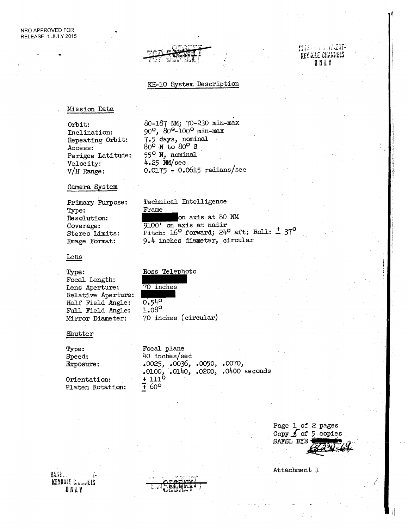## THE R. P. LEWIS KEY6LE CNANNELS ONLY

#### KH-10 System Description

80-187 NM; 70-230 min-max 90°, 80G-100° min-max 7.5 days, nominal 80° N to 80° S 55° N, nominal 4.25 NM/sec

0.0175 - 0.0615 radians/sec

on axis at 80 NM

9.4 inches diameter, circular

Pitch:  $16^{\circ}$  forward;  $24^{\circ}$  aft; Roll:  $\pm$  37°

Technical Intelligence

9100' on axis at nadir

Frame

#### . Mission Data

Orbit: Inclination: Repeating Orbit: Access: Perigee Latitude: Velocity: V/H Range:

#### Camera System

Primary Purpose: Type: Resolution: Coverage: Stereo Limits: Image Format:

#### Lens

## Type:

Focal Length: Lens Aperture: Relative Aperture: Half Field Angle: Full Field Angle: Mirror Diameter:

#### Shutter

Type: Speed: Exposure: Orientation: Platen Rotation: Focal plane 40 inches/sec .0025, .0036, .0050, .0070, .0100, .0140, .0200, .0400 seconds  $+111^{\circ}$  $7.60^{\circ}$ 

70 inches (circular)

Ross Telephoto

70 inches

 $0.540$ 1.08°

Page 1 of 2 pages Copy  $\int$  of 5 copies SAFSL BYE

Attachment 1

HANE-KEYHULE Cannalets ONLY